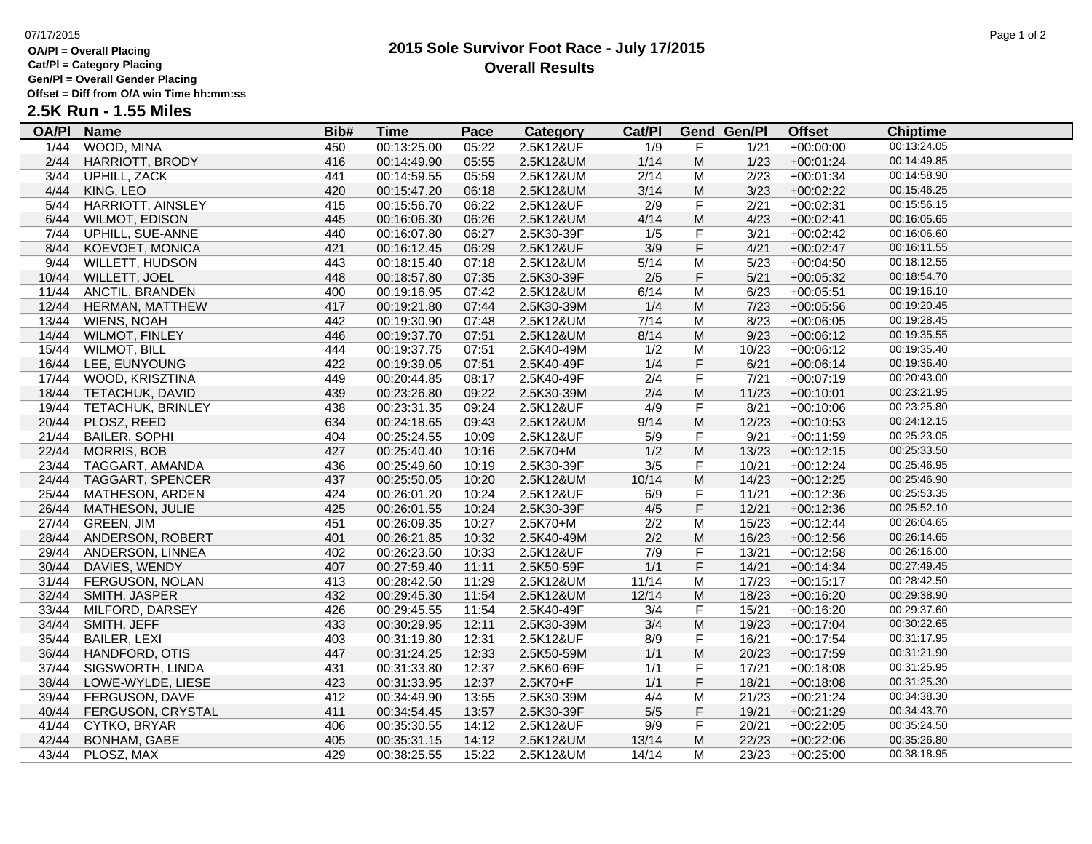## **OA/Pl = Overall Placing**

**Cat/Pl = Category Placing**

### **Gen/Pl = Overall Gender Placing**

**Offset = Diff from O/A win Time hh:mm:ss**

# **2.5K Run - 1.55 Miles**

| <b>OA/PI</b> | <b>Name</b>            | Bib# | <u>Time</u> | <b>Pace</b> | <b>Category</b> | Cat/PI |                         | <b>Gend Gen/Pl</b> | <b>Offset</b> | <b>Chiptime</b> |  |
|--------------|------------------------|------|-------------|-------------|-----------------|--------|-------------------------|--------------------|---------------|-----------------|--|
| 1/44         | WOOD, MINA             | 450  | 00:13:25.00 | 05:22       | 2.5K12&UF       | 1/9    | F                       | 1/21               | $+00:00:00$   | 00:13:24.05     |  |
| 2/44         | <b>HARRIOTT, BRODY</b> | 416  | 00:14:49.90 | 05:55       | 2.5K12&UM       | 1/14   | M                       | 1/23               | $+00:01:24$   | 00:14:49.85     |  |
| 3/44         | UPHILL, ZACK           | 441  | 00:14:59.55 | 05:59       | 2.5K12&UM       | 2/14   | м                       | 2/23               | $+00:01:34$   | 00:14:58.90     |  |
| 4/44         | KING, LEO              | 420  | 00:15:47.20 | 06:18       | 2.5K12&UM       | 3/14   | M                       | 3/23               | $+00:02:22$   | 00:15:46.25     |  |
| 5/44         | HARRIOTT, AINSLEY      | 415  | 00:15:56.70 | 06:22       | 2.5K12&UF       | 2/9    | $\mathsf F$             | 2/21               | $+00:02:31$   | 00:15:56.15     |  |
| 6/44         | <b>WILMOT, EDISON</b>  | 445  | 00:16:06.30 | 06:26       | 2.5K12&UM       | 4/14   | M                       | 4/23               | $+00:02:41$   | 00:16:05.65     |  |
| 7/44         | UPHILL, SUE-ANNE       | 440  | 00:16:07.80 | 06:27       | 2.5K30-39F      | 1/5    | F                       | 3/21               | $+00:02:42$   | 00:16:06.60     |  |
| 8/44         | KOEVOET, MONICA        | 421  | 00:16:12.45 | 06:29       | 2.5K12&UF       | 3/9    | $\overline{\mathsf{F}}$ | 4/21               | $+00:02:47$   | 00:16:11.55     |  |
| 9/44         | <b>WILLETT, HUDSON</b> | 443  | 00:18:15.40 | 07:18       | 2.5K12&UM       | 5/14   | M                       | 5/23               | $+00:04:50$   | 00:18:12.55     |  |
| 10/44        | WILLETT, JOEL          | 448  | 00:18:57.80 | 07:35       | 2.5K30-39F      | 2/5    | $\mathsf F$             | 5/21               | $+00:05:32$   | 00:18:54.70     |  |
| 11/44        | ANCTIL, BRANDEN        | 400  | 00:19:16.95 | 07:42       | 2.5K12&UM       | 6/14   | M                       | 6/23               | $+00:05:51$   | 00:19:16.10     |  |
| 12/44        | HERMAN, MATTHEW        | 417  | 00:19:21.80 | 07:44       | 2.5K30-39M      | 1/4    | M                       | 7/23               | $+00:05:56$   | 00:19:20.45     |  |
| 13/44        | <b>WIENS, NOAH</b>     | 442  | 00:19:30.90 | 07:48       | 2.5K12&UM       | 7/14   | M                       | 8/23               | $+00:06:05$   | 00:19:28.45     |  |
| 14/44        | <b>WILMOT, FINLEY</b>  | 446  | 00:19:37.70 | 07:51       | 2.5K12&UM       | 8/14   | M                       | 9/23               | $+00:06:12$   | 00:19:35.55     |  |
| 15/44        | <b>WILMOT, BILL</b>    | 444  | 00:19:37.75 | 07:51       | 2.5K40-49M      | 1/2    | M                       | 10/23              | $+00:06:12$   | 00:19:35.40     |  |
| 16/44        | LEE, EUNYOUNG          | 422  | 00:19:39.05 | 07:51       | 2.5K40-49F      | 1/4    | $\overline{\mathsf{F}}$ | 6/21               | $+00:06:14$   | 00:19:36.40     |  |
| 17/44        | WOOD, KRISZTINA        | 449  | 00:20:44.85 | 08:17       | 2.5K40-49F      | 2/4    | $\overline{F}$          | 7/21               | $+00:07:19$   | 00:20:43.00     |  |
| 18/44        | TETACHUK, DAVID        | 439  | 00:23:26.80 | 09:22       | 2.5K30-39M      | 2/4    | M                       | 11/23              | $+00:10:01$   | 00:23:21.95     |  |
| 19/44        | TETACHUK, BRINLEY      | 438  | 00:23:31.35 | 09:24       | 2.5K12&UF       | 4/9    | F                       | 8/21               | $+00:10:06$   | 00:23:25.80     |  |
| 20/44        | PLOSZ, REED            | 634  | 00:24:18.65 | 09:43       | 2.5K12&UM       | 9/14   | M                       | 12/23              | $+00:10:53$   | 00:24:12.15     |  |
| 21/44        | <b>BAILER, SOPHI</b>   | 404  | 00:25:24.55 | 10:09       | 2.5K12&UF       | 5/9    | F                       | 9/21               | $+00:11:59$   | 00:25:23.05     |  |
| 22/44        | MORRIS, BOB            | 427  | 00:25:40.40 | 10:16       | 2.5K70+M        | 1/2    | M                       | 13/23              | $+00:12:15$   | 00:25:33.50     |  |
| 23/44        | TAGGART, AMANDA        | 436  | 00:25:49.60 | 10:19       | 2.5K30-39F      | 3/5    | F                       | 10/21              | $+00:12:24$   | 00:25:46.95     |  |
|              | 24/44 TAGGART, SPENCER | 437  | 00:25:50.05 | 10:20       | 2.5K12&UM       | 10/14  | M                       | 14/23              | $+00:12:25$   | 00:25:46.90     |  |
| 25/44        | MATHESON, ARDEN        | 424  | 00:26:01.20 | 10:24       | 2.5K12&UF       | 6/9    | F                       | 11/21              | $+00:12:36$   | 00:25:53.35     |  |
| 26/44        | MATHESON, JULIE        | 425  | 00:26:01.55 | 10:24       | 2.5K30-39F      | 4/5    | $\mathsf F$             | 12/21              | $+00:12:36$   | 00:25:52.10     |  |
| 27/44        | <b>GREEN, JIM</b>      | 451  | 00:26:09.35 | 10:27       | 2.5K70+M        | 2/2    | M                       | 15/23              | $+00:12:44$   | 00:26:04.65     |  |
| 28/44        | ANDERSON, ROBERT       | 401  | 00:26:21.85 | 10:32       | 2.5K40-49M      | 2/2    | M                       | 16/23              | $+00:12:56$   | 00:26:14.65     |  |
| 29/44        | ANDERSON, LINNEA       | 402  | 00:26:23.50 | 10:33       | 2.5K12&UF       | 7/9    | F                       | 13/21              | $+00:12:58$   | 00:26:16.00     |  |
| 30/44        | DAVIES, WENDY          | 407  | 00:27:59.40 | 11:11       | 2.5K50-59F      | 1/1    | $\mathsf F$             | 14/21              | $+00:14:34$   | 00:27:49.45     |  |
| 31/44        | <b>FERGUSON, NOLAN</b> | 413  | 00:28:42.50 | 11:29       | 2.5K12&UM       | 11/14  | м                       | 17/23              | $+00:15:17$   | 00:28:42.50     |  |
| 32/44        | SMITH, JASPER          | 432  | 00:29:45.30 | 11:54       | 2.5K12&UM       | 12/14  | M                       | 18/23              | $+00:16:20$   | 00:29:38.90     |  |
| 33/44        | MILFORD, DARSEY        | 426  | 00:29:45.55 | 11:54       | 2.5K40-49F      | 3/4    | $\overline{\mathsf{F}}$ | 15/21              | $+00:16:20$   | 00:29:37.60     |  |
| 34/44        | SMITH, JEFF            | 433  | 00:30:29.95 | 12:11       | 2.5K30-39M      | 3/4    | M                       | 19/23              | $+00:17:04$   | 00:30:22.65     |  |
| 35/44        | <b>BAILER, LEXI</b>    | 403  | 00:31:19.80 | 12:31       | 2.5K12&UF       | 8/9    | F                       | 16/21              | $+00:17:54$   | 00:31:17.95     |  |
|              | 36/44 HANDFORD, OTIS   | 447  | 00:31:24.25 | 12:33       | 2.5K50-59M      | 1/1    | M                       | 20/23              | $+00:17:59$   | 00:31:21.90     |  |
| 37/44        | SIGSWORTH, LINDA       | 431  | 00:31:33.80 | 12:37       | 2.5K60-69F      | 1/1    | F                       | 17/21              | $+00:18:08$   | 00:31:25.95     |  |
| 38/44        | LOWE-WYLDE, LIESE      | 423  | 00:31:33.95 | 12:37       | 2.5K70+F        | 1/1    | F                       | 18/21              | $+00:18:08$   | 00:31:25.30     |  |
| 39/44        | FERGUSON, DAVE         | 412  | 00:34:49.90 | 13:55       | 2.5K30-39M      | 4/4    | M                       | 21/23              | $+00:21:24$   | 00:34:38.30     |  |
| 40/44        | FERGUSON, CRYSTAL      | 411  | 00:34:54.45 | 13:57       | 2.5K30-39F      | $5/5$  | F                       | 19/21              | $+00:21:29$   | 00:34:43.70     |  |
| 41/44        | CYTKO, BRYAR           | 406  | 00:35:30.55 | 14:12       | 2.5K12&UF       | 9/9    | $\mathsf F$             | 20/21              | $+00:22:05$   | 00:35:24.50     |  |
| 42/44        | <b>BONHAM, GABE</b>    | 405  | 00:35:31.15 | 14:12       | 2.5K12&UM       | 13/14  | M                       | 22/23              | $+00:22:06$   | 00:35:26.80     |  |
| 43/44        | PLOSZ, MAX             | 429  | 00:38:25.55 | 15:22       | 2.5K12&UM       | 14/14  | м                       | 23/23              | $+00:25:00$   | 00:38:18.95     |  |
|              |                        |      |             |             |                 |        |                         |                    |               |                 |  |

# **2015 Sole Survivor Foot Race - July 17/2015 Overall Results**